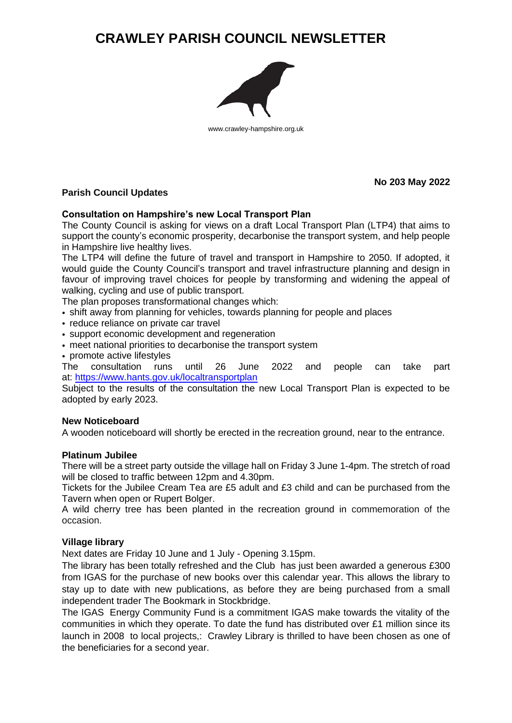# **CRAWLEY PARISH COUNCIL NEWSLETTER**



www.crawley-hampshire.org.uk

# **Parish Council Updates**

**No 203 May 2022**

## **Consultation on Hampshire's new Local Transport Plan**

The County Council is asking for views on a draft Local Transport Plan (LTP4) that aims to support the county's economic prosperity, decarbonise the transport system, and help people in Hampshire live healthy lives.

The LTP4 will define the future of travel and transport in Hampshire to 2050. If adopted, it would guide the County Council's transport and travel infrastructure planning and design in favour of improving travel choices for people by transforming and widening the appeal of walking, cycling and use of public transport.

The plan proposes transformational changes which:

- shift away from planning for vehicles, towards planning for people and places
- reduce reliance on private car travel
- support economic development and regeneration
- meet national priorities to decarbonise the transport system
- promote active lifestyles

The consultation runs until 26 June 2022 and people can take part at: <https://www.hants.gov.uk/localtransportplan>

Subject to the results of the consultation the new Local Transport Plan is expected to be adopted by early 2023.

### **New Noticeboard**

A wooden noticeboard will shortly be erected in the recreation ground, near to the entrance.

### **Platinum Jubilee**

There will be a street party outside the village hall on Friday 3 June 1-4pm. The stretch of road will be closed to traffic between 12pm and 4.30pm.

Tickets for the Jubilee Cream Tea are £5 adult and £3 child and can be purchased from the Tavern when open or Rupert Bolger.

A wild cherry tree has been planted in the recreation ground in commemoration of the occasion.

### **Village library**

Next dates are Friday 10 June and 1 July - Opening 3.15pm.

The library has been totally refreshed and the Club has just been awarded a generous £300 from IGAS for the purchase of new books over this calendar year. This allows the library to stay up to date with new publications, as before they are being purchased from a small independent trader The Bookmark in Stockbridge.

The IGAS Energy Community Fund is a commitment IGAS make towards the vitality of the communities in which they operate. To date the fund has distributed over £1 million since its launch in 2008 to local projects,: Crawley Library is thrilled to have been chosen as one of the beneficiaries for a second year.